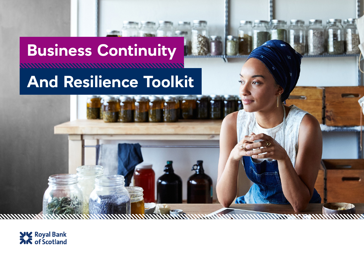# **Business Continuity MANAHANAMANAMANAMAN And Resilience Toolkit**

WENT

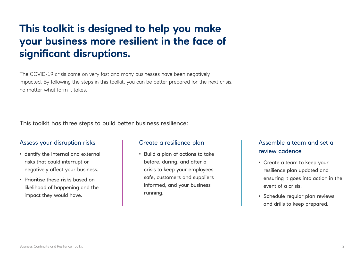## **This toolkit is designed to help you make your business more resilient in the face of significant disruptions.**

The COVID-19 crisis came on very fast and many businesses have been negatively impacted. By following the steps in this toolkit, you can be better prepared for the next crisis, no matter what form it takes.

This toolkit has three steps to build better business resilience:

### Assess your disruption risks The Create a resilience plan The Assemble a team and set a

- dentify the internal and external **external** Build a plan of actions to take **and the internal condence** risks that could interrupt or negatively affect your business.
- Prioritise these risks based on likelihood of happening and the impact they would have.

• Build a plan of actions to take before, during, and after a crisis to keep your employees safe, customers and suppliers informed, and your business running.

- Create a team to keep your resilience plan updated and ensuring it goes into action in the event of a crisis.
- Schedule regular plan reviews and drills to keep prepared.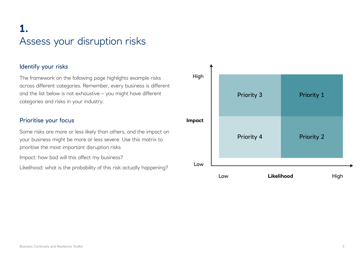## **1.** Assess your disruption risks

### Identify your risks

The framework on the following page highlights example risks across different categories. Remember, every business is different and the list below is not exhaustive – you might have different categories and risks in your industry.

### Prioritise your focus

Some risks are more or less likely than others, and the impact on your business might be more or less severe. Use this matrix to prioritise the most important disruption risks

Impact: how bad will this affect my business?

Likelihood: what is the probability of this risk actually happening?

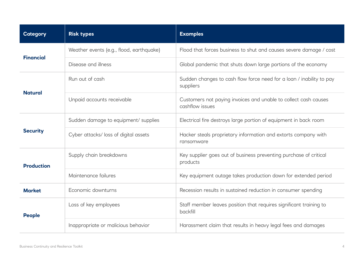| <b>Category</b>   | <b>Risk types</b>                        | <b>Examples</b>                                                                    |
|-------------------|------------------------------------------|------------------------------------------------------------------------------------|
| <b>Financial</b>  | Weather events (e.g., flood, earthquake) | Flood that forces business to shut and causes severe damage / cost                 |
|                   | Disease and illness                      | Global pandemic that shuts down large portions of the economy                      |
| <b>Natural</b>    | Run out of cash                          | Sudden changes to cash flow force need for a loan / inability to pay<br>suppliers  |
|                   | Unpaid accounts receivable               | Customers not paying invoices and unable to collect cash causes<br>cashflow issues |
|                   | Sudden damage to equipment/ supplies     | Electrical fire destroys large portion of equipment in back room                   |
| <b>Security</b>   | Cyber attacks/ loss of digital assets    | Hacker steals proprietary information and extorts company with<br>ransomware       |
| <b>Production</b> | Supply chain breakdowns                  | Key supplier goes out of business preventing purchase of critical<br>products      |
|                   | Maintenance failures                     | Key equipment outage takes production down for extended period                     |
| <b>Market</b>     | Economic downturns                       | Recession results in sustained reduction in consumer spending                      |
| <b>People</b>     | Loss of key employees                    | Staff member leaves position that requires significant training to<br>backfill     |
|                   | Inappropriate or malicious behavior      | Harassment claim that results in heavy legal fees and damages                      |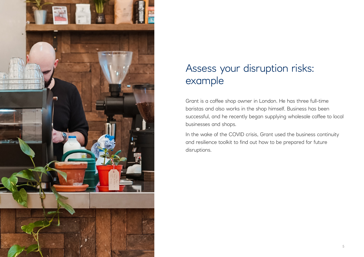

## Assess your disruption risks: example

Grant is a coffee shop owner in London. He has three full-time baristas and also works in the shop himself. Business has been successful, and he recently began supplying wholesale coffee to local businesses and shops.

In the wake of the COVID crisis, Grant used the business continuity and resilience toolkit to find out how to be prepared for future disruptions.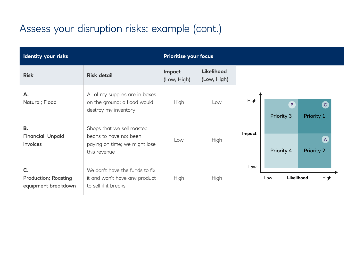## Assess your disruption risks: example (cont.)

| Identity your risks                                      |                                                                                                       | <b>Prioritise your focus</b> |                                  |        |                              |                                   |
|----------------------------------------------------------|-------------------------------------------------------------------------------------------------------|------------------------------|----------------------------------|--------|------------------------------|-----------------------------------|
| <b>Risk</b>                                              | <b>Risk detail</b>                                                                                    | Impact<br>(Low, High)        | <b>Likelihood</b><br>(Low, High) |        |                              |                                   |
| A.<br>Natural; Flood                                     | All of my supplies are in boxes<br>on the ground; a flood would<br>destroy my inventory               | <b>High</b>                  | Low                              | High   | $\overline{B}$<br>Priority 3 | $\mathsf{C}$<br>Priority 1        |
| <b>B.</b><br>Financial; Unpaid<br>invoices               | Shops that we sell roasted<br>beans to have not been<br>paying on time; we might lose<br>this revenue | Low                          | High                             | Impact | Priority 4                   | $\mathsf{A}$<br><b>Priority 2</b> |
| C.<br><b>Production; Roasting</b><br>equipment breakdown | We don't have the funds to fix<br>it and won't have any product<br>to sell if it breaks               | <b>High</b>                  | High                             | Low    | Low                          | Likelihood<br>High                |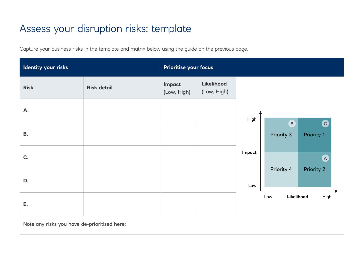## Assess your disruption risks: template

Capture your business risks in the template and matrix below using the guide on the previous page.

| Identity your risks |                    | Prioritise your focus |                                  |        |                            |                 |
|---------------------|--------------------|-----------------------|----------------------------------|--------|----------------------------|-----------------|
| <b>Risk</b>         | <b>Risk detail</b> | Impact<br>(Low, High) | <b>Likelihood</b><br>(Low, High) |        |                            |                 |
| A.                  |                    |                       |                                  | High   |                            |                 |
| <b>B.</b>           |                    |                       |                                  |        | $\mathbf{B}$<br>Priority 3 | O<br>Priority 1 |
| C.                  |                    |                       |                                  | Impact |                            | (A)             |
| D.                  |                    |                       |                                  | Low    | Priority 4                 | Priority 2      |
| E.                  |                    |                       |                                  |        | Likelihood<br>Low          | High            |

Note any risks you have de-prioritised here: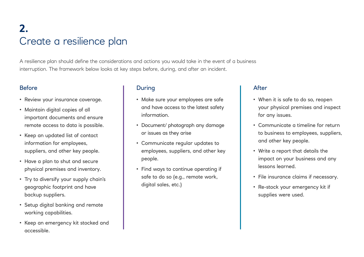## **2.** Create a resilience plan

A resilience plan should define the considerations and actions you would take in the event of a business interruption. The framework below looks at key steps before, during, and after an incident.

- Review your insurance coverage.
- Maintain digital copies of all important documents and ensure remote access to data is possible.
- Keep an updated list of contact information for employees, suppliers, and other key people.
- Have a plan to shut and secure physical premises and inventory.
- Try to diversify your supply chain's geographic footprint and have backup suppliers.
- Setup digital banking and remote working capabilities.
- Keep an emergency kit stocked and accessible.

### Before During After

- Make sure your employees are safe and have access to the latest safety information.
- Document/ photograph any damage or issues as they arise
- Communicate regular updates to employees, suppliers, and other key people.
- Find ways to continue operating if safe to do so (e.g., remote work, digital sales, etc.)

- When it is safe to do so, reopen your physical premises and inspect for any issues.
- Communicate a timeline for return to business to employees, suppliers, and other key people.
- Write a report that details the impact on your business and any lessons learned.
- File insurance claims if necessary.
- Re-stock your emergency kit if supplies were used.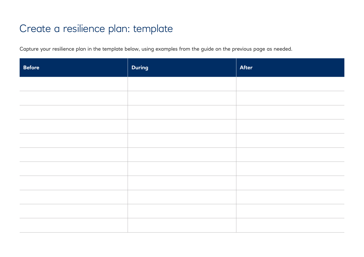### Create a resilience plan: template

Capture your resilience plan in the template below, using examples from the guide on the previous page as needed.

| <b>Before</b> | <b>During</b> | <b>After</b> |
|---------------|---------------|--------------|
|               |               |              |
|               |               |              |
|               |               |              |
|               |               |              |
|               |               |              |
|               |               |              |
|               |               |              |
|               |               |              |
|               |               |              |
|               |               |              |
|               |               |              |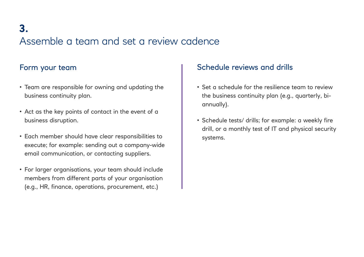## **3.** Assemble a team and set a review cadence

- Team are responsible for owning and updating the business continuity plan.
- Act as the key points of contact in the event of a business disruption.
- Each member should have clear responsibilities to execute; for example: sending out a company-wide email communication, or contacting suppliers.
- For larger organisations, your team should include members from different parts of your organisation (e.g., HR, finance, operations, procurement, etc.)

### Form your team  $\vert$  Schedule reviews and drills

- Set a schedule for the resilience team to review the business continuity plan (e.g., quarterly, biannually).
- Schedule tests/ drills; for example: a weekly fire drill, or a monthly test of IT and physical security systems.